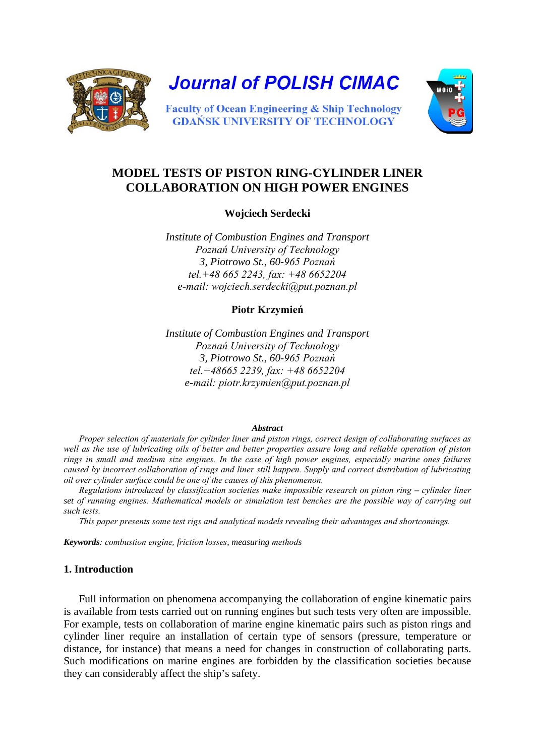

# **MODEL TESTS OF PISTON RING-CYLINDER LINER COLLABORATION ON HIGH POWER ENGINES**

**Wojciech Serdecki**

*Institute of Combustion Engines and Transport Poznań University of Technology 3, Piotrowo St., 60-965 Poznań tel.+48 665 2243, fax: +48 6652204 e-mail: wojciech.serdecki@put.poznan.pl*

## **Piotr Krzymień**

*Institute of Combustion Engines and Transport Poznań University of Technology 3, Piotrowo St., 60-965 Poznań tel.+48665 2239, fax: +48 6652204 e-mail: piotr.krzymien@put.poznan.pl*

## *Abstract*

*Proper selection of materials for cylinder liner and piston rings, correct design of collaborating surfaces as well as the use of lubricating oils of better and better properties assure long and reliable operation of piston rings in small and medium size engines. In the case of high power engines, especially marine ones failures caused by incorrect collaboration of rings and liner still happen. Supply and correct distribution of lubricating oil over cylinder surface could be one of the causes of this phenomenon.*

*Regulations introduced by classification societies make impossible research on piston ring – cylinder liner set of running engines. Mathematical models or simulation test benches are the possible way of carrying out such tests.*

*This paper presents some test rigs and analytical models revealing their advantages and shortcomings.*

*Keywords: combustion engine, friction losses, measuring methods*

# **1. Introduction**

Full information on phenomena accompanying the collaboration of engine kinematic pairs is available from tests carried out on running engines but such tests very often are impossible. For example, tests on collaboration of marine engine kinematic pairs such as piston rings and cylinder liner require an installation of certain type of sensors (pressure, temperature or distance, for instance) that means a need for changes in construction of collaborating parts. Such modifications on marine engines are forbidden by the classification societies because they can considerably affect the ship's safety.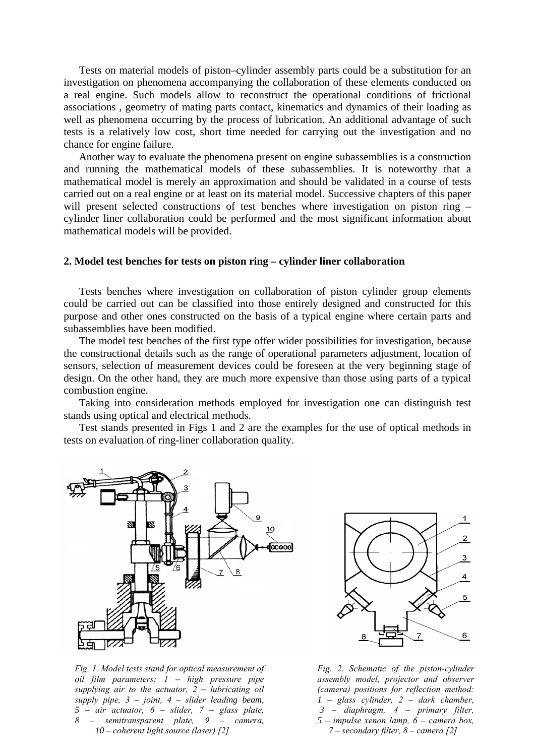Tests on material models of piston–cylinder assembly parts could be a substitution for an investigation on phenomena accompanying the collaboration of these elements conducted on a real engine. Such models allow to reconstruct the operational conditions of frictional associations , geometry of mating parts contact, kinematics and dynamics of their loading as well as phenomena occurring by the process of lubrication. An additional advantage of such tests is a relatively low cost, short time needed for carrying out the investigation and no chance for engine failure.

Another way to evaluate the phenomena present on engine subassemblies is a construction and running the mathematical models of these subassemblies. It is noteworthy that a mathematical model is merely an approximation and should be validated in a course of tests carried out on a real engine or at least on its material model. Successive chapters of this paper will present selected constructions of test benches where investigation on piston ring – cylinder liner collaboration could be performed and the most significant information about mathematical models will be provided.

## **2. Model test benches for tests on piston ring – cylinder liner collaboration**

Tests benches where investigation on collaboration of piston cylinder group elements could be carried out can be classified into those entirely designed and constructed for this purpose and other ones constructed on the basis of a typical engine where certain parts and subassemblies have been modified.

The model test benches of the first type offer wider possibilities for investigation, because the constructional details such as the range of operational parameters adjustment, location of sensors, selection of measurement devices could be foreseen at the very beginning stage of design. On the other hand, they are much more expensive than those using parts of a typical combustion engine.

Taking into consideration methods employed for investigation one can distinguish test stands using optical and electrical methods.

Test stands presented in Figs 1 and 2 are the examples for the use of optical methods in tests on evaluation of ring-liner collaboration quality.



*Fig. 1. Model tests stand for optical measurement of oil film parameters: 1 – high pressure pipe supplying air to the actuator, 2 – lubricating oil supply pipe, 3 – joint, 4 – slider leading beam, 5 – air actuator, 6 – slider, 7 – glass plate, 8 – semitransparent plate, 9 – camera, 10 – coherent light source (laser) [2]* 



*Fig. 2. Schematic of the piston-cylinder assembly model, projector and observer (camera) positions for reflection method: 1 – glass cylinder, 2 – dark chamber, 3 – diaphragm, 4 – primary filter, 5 – impulse xenon lamp, 6 – camera box, 7 – secondary filter, 8 – camera [2]*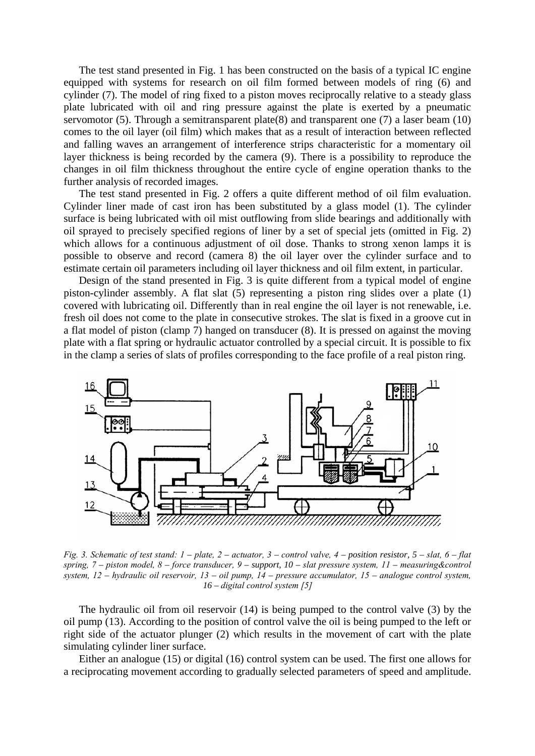The test stand presented in Fig. 1 has been constructed on the basis of a typical IC engine equipped with systems for research on oil film formed between models of ring (6) and cylinder (7). The model of ring fixed to a piston moves reciprocally relative to a steady glass plate lubricated with oil and ring pressure against the plate is exerted by a pneumatic servomotor (5). Through a semitransparent plate(8) and transparent one (7) a laser beam (10) comes to the oil layer (oil film) which makes that as a result of interaction between reflected and falling waves an arrangement of interference strips characteristic for a momentary oil layer thickness is being recorded by the camera (9). There is a possibility to reproduce the changes in oil film thickness throughout the entire cycle of engine operation thanks to the further analysis of recorded images.

The test stand presented in Fig. 2 offers a quite different method of oil film evaluation. Cylinder liner made of cast iron has been substituted by a glass model (1). The cylinder surface is being lubricated with oil mist outflowing from slide bearings and additionally with oil sprayed to precisely specified regions of liner by a set of special jets (omitted in Fig. 2) which allows for a continuous adjustment of oil dose. Thanks to strong xenon lamps it is possible to observe and record (camera 8) the oil layer over the cylinder surface and to estimate certain oil parameters including oil layer thickness and oil film extent, in particular.

Design of the stand presented in Fig. 3 is quite different from a typical model of engine piston-cylinder assembly. A flat slat (5) representing a piston ring slides over a plate (1) covered with lubricating oil. Differently than in real engine the oil layer is not renewable, i.e. fresh oil does not come to the plate in consecutive strokes. The slat is fixed in a groove cut in a flat model of piston (clamp 7) hanged on transducer (8). It is pressed on against the moving plate with a flat spring or hydraulic actuator controlled by a special circuit. It is possible to fix in the clamp a series of slats of profiles corresponding to the face profile of a real piston ring.



*Fig. 3. Schematic of test stand: 1 – plate, 2 – actuator, 3 – control valve, 4 – position resistor, 5 – slat, 6 – flat spring, 7 – piston model, 8 – force transducer, 9 – support, 10 – slat pressure system, 11 – measuring&control system, 12 – hydraulic oil reservoir, 13 – oil pump, 14 – pressure accumulator, 15 – analogue control system, 16 – digital control system [5]*

The hydraulic oil from oil reservoir (14) is being pumped to the control valve (3) by the oil pump (13). According to the position of control valve the oil is being pumped to the left or right side of the actuator plunger (2) which results in the movement of cart with the plate simulating cylinder liner surface.

Either an analogue (15) or digital (16) control system can be used. The first one allows for a reciprocating movement according to gradually selected parameters of speed and amplitude.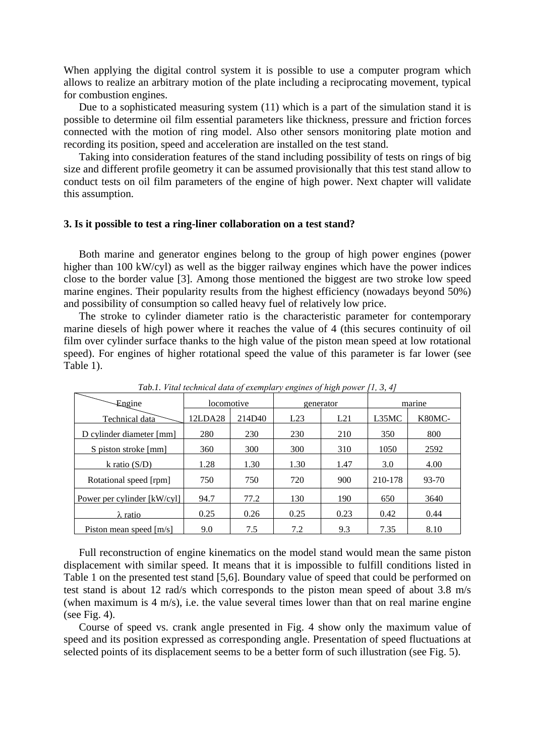When applying the digital control system it is possible to use a computer program which allows to realize an arbitrary motion of the plate including a reciprocating movement, typical for combustion engines.

Due to a sophisticated measuring system (11) which is a part of the simulation stand it is possible to determine oil film essential parameters like thickness, pressure and friction forces connected with the motion of ring model. Also other sensors monitoring plate motion and recording its position, speed and acceleration are installed on the test stand.

Taking into consideration features of the stand including possibility of tests on rings of big size and different profile geometry it can be assumed provisionally that this test stand allow to conduct tests on oil film parameters of the engine of high power. Next chapter will validate this assumption.

#### **3. Is it possible to test a ring-liner collaboration on a test stand?**

Both marine and generator engines belong to the group of high power engines (power higher than 100 kW/cyl) as well as the bigger railway engines which have the power indices close to the border value [3]. Among those mentioned the biggest are two stroke low speed marine engines. Their popularity results from the highest efficiency (nowadays beyond 50%) and possibility of consumption so called heavy fuel of relatively low price.

The stroke to cylinder diameter ratio is the characteristic parameter for contemporary marine diesels of high power where it reaches the value of 4 (this secures continuity of oil film over cylinder surface thanks to the high value of the piston mean speed at low rotational speed). For engines of higher rotational speed the value of this parameter is far lower (see Table 1).

| $\sim$<br>$\cdots$ $\cdots$ $\cdots$ |            |        |           |      |         |        |
|--------------------------------------|------------|--------|-----------|------|---------|--------|
| Engine                               | locomotive |        | generator |      | marine  |        |
| Technical data                       | 12LDA28    | 214D40 | L23       | L21  | L35MC   | K80MC- |
| D cylinder diameter [mm]             | 280        | 230    | 230       | 210  | 350     | 800    |
| S piston stroke [mm]                 | 360        | 300    | 300       | 310  | 1050    | 2592   |
| k ratio $(S/D)$                      | 1.28       | 1.30   | 1.30      | 1.47 | 3.0     | 4.00   |
| Rotational speed [rpm]               | 750        | 750    | 720       | 900  | 210-178 | 93-70  |
| Power per cylinder [kW/cyl]          | 94.7       | 77.2   | 130       | 190  | 650     | 3640   |
| $\lambda$ ratio                      | 0.25       | 0.26   | 0.25      | 0.23 | 0.42    | 0.44   |
| Piston mean speed [m/s]              | 9.0        | 7.5    | 7.2       | 9.3  | 7.35    | 8.10   |

*Tab.1. Vital technical data of exemplary engines of high power [1, 3, 4]*

Full reconstruction of engine kinematics on the model stand would mean the same piston displacement with similar speed. It means that it is impossible to fulfill conditions listed in Table 1 on the presented test stand [5,6]. Boundary value of speed that could be performed on test stand is about 12 rad/s which corresponds to the piston mean speed of about 3.8 m/s (when maximum is 4 m/s), i.e. the value several times lower than that on real marine engine (see Fig. 4).

Course of speed vs. crank angle presented in Fig. 4 show only the maximum value of speed and its position expressed as corresponding angle. Presentation of speed fluctuations at selected points of its displacement seems to be a better form of such illustration (see Fig. 5).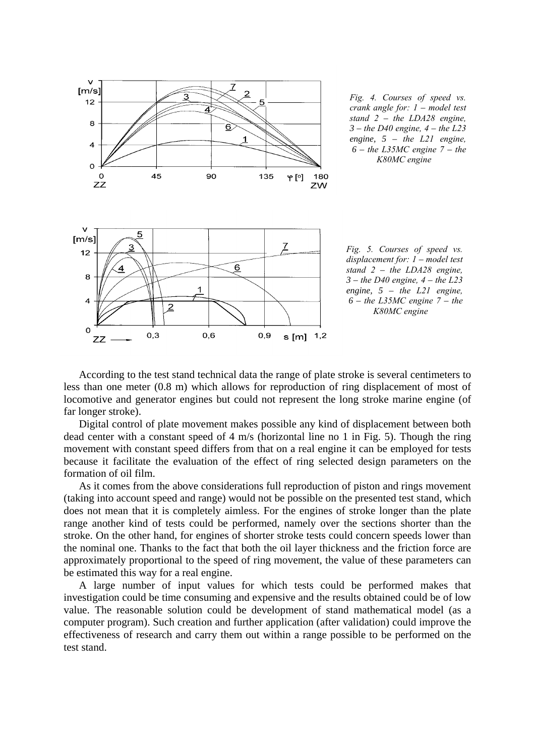

*Fig. 4. Courses of speed vs. crank angle for: 1 – model test stand 2 – the LDA28 engine, 3 – the D40 engine, 4 – the L23 engine, 5 – the L21 engine, 6 – the L35MC engine 7 – the K80MC engine*



According to the test stand technical data the range of plate stroke is several centimeters to less than one meter (0.8 m) which allows for reproduction of ring displacement of most of locomotive and generator engines but could not represent the long stroke marine engine (of far longer stroke).

Digital control of plate movement makes possible any kind of displacement between both dead center with a constant speed of 4 m/s (horizontal line no 1 in Fig. 5). Though the ring movement with constant speed differs from that on a real engine it can be employed for tests because it facilitate the evaluation of the effect of ring selected design parameters on the formation of oil film.

As it comes from the above considerations full reproduction of piston and rings movement (taking into account speed and range) would not be possible on the presented test stand, which does not mean that it is completely aimless. For the engines of stroke longer than the plate range another kind of tests could be performed, namely over the sections shorter than the stroke. On the other hand, for engines of shorter stroke tests could concern speeds lower than the nominal one. Thanks to the fact that both the oil layer thickness and the friction force are approximately proportional to the speed of ring movement, the value of these parameters can be estimated this way for a real engine.

A large number of input values for which tests could be performed makes that investigation could be time consuming and expensive and the results obtained could be of low value. The reasonable solution could be development of stand mathematical model (as a computer program). Such creation and further application (after validation) could improve the effectiveness of research and carry them out within a range possible to be performed on the test stand.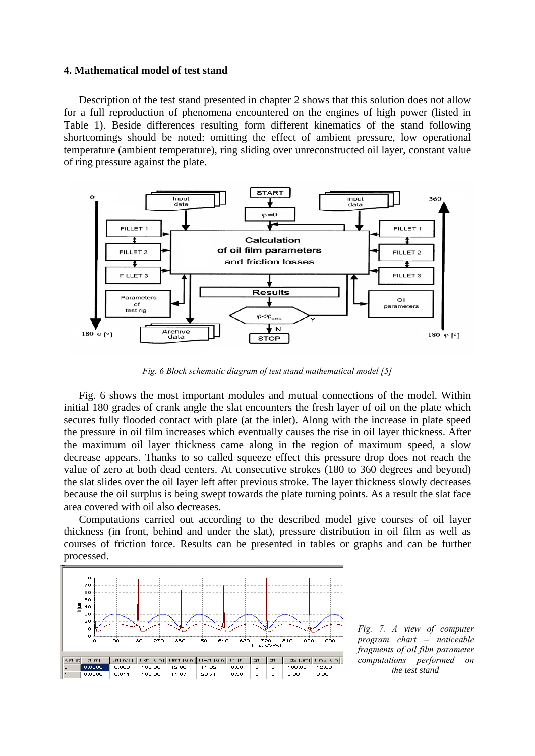#### **4. Mathematical model of test stand**

Description of the test stand presented in chapter 2 shows that this solution does not allow for a full reproduction of phenomena encountered on the engines of high power (listed in Table 1). Beside differences resulting form different kinematics of the stand following shortcomings should be noted: omitting the effect of ambient pressure, low operational temperature (ambient temperature), ring sliding over unreconstructed oil layer, constant value of ring pressure against the plate.



*Fig. 6 Block schematic diagram of test stand mathematical model [5]*

Fig. 6 shows the most important modules and mutual connections of the model. Within initial 180 grades of crank angle the slat encounters the fresh layer of oil on the plate which secures fully flooded contact with plate (at the inlet). Along with the increase in plate speed the pressure in oil film increases which eventually causes the rise in oil layer thickness. After the maximum oil layer thickness came along in the region of maximum speed, a slow decrease appears. Thanks to so called squeeze effect this pressure drop does not reach the value of zero at both dead centers. At consecutive strokes (180 to 360 degrees and beyond) the slat slides over the oil layer left after previous stroke. The layer thickness slowly decreases because the oil surplus is being swept towards the plate turning points. As a result the slat face area covered with oil also decreases.

Computations carried out according to the described model give courses of oil layer thickness (in front, behind and under the slat), pressure distribution in oil film as well as courses of friction force. Results can be presented in tables or graphs and can be further processed.



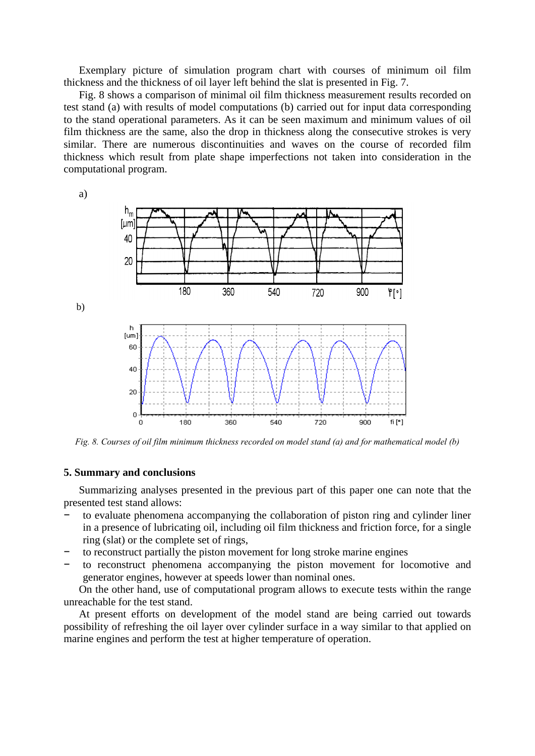Exemplary picture of simulation program chart with courses of minimum oil film thickness and the thickness of oil layer left behind the slat is presented in Fig. 7.

Fig. 8 shows a comparison of minimal oil film thickness measurement results recorded on test stand (a) with results of model computations (b) carried out for input data corresponding to the stand operational parameters. As it can be seen maximum and minimum values of oil film thickness are the same, also the drop in thickness along the consecutive strokes is very similar. There are numerous discontinuities and waves on the course of recorded film thickness which result from plate shape imperfections not taken into consideration in the computational program.

a)  $\mathsf{h}_{\mathsf{m}}$  $[µm]$ 40 20 180 360 540  $\mathsf{f}[\cdot]$ 720 900 b)  $\overline{h}$  $[um]$ 60  $40$ 20  $\overline{0}$ 180 fi $[$ "] O 360 540 720 900 *Fig. 8. Courses of oil film minimum thickness recorded on model stand (a) and for mathematical model (b)*

### **5. Summary and conclusions**

Summarizing analyses presented in the previous part of this paper one can note that the presented test stand allows:

- to evaluate phenomena accompanying the collaboration of piston ring and cylinder liner in a presence of lubricating oil, including oil film thickness and friction force, for a single ring (slat) or the complete set of rings,
- to reconstruct partially the piston movement for long stroke marine engines
- to reconstruct phenomena accompanying the piston movement for locomotive and generator engines, however at speeds lower than nominal ones.

On the other hand, use of computational program allows to execute tests within the range unreachable for the test stand.

At present efforts on development of the model stand are being carried out towards possibility of refreshing the oil layer over cylinder surface in a way similar to that applied on marine engines and perform the test at higher temperature of operation.